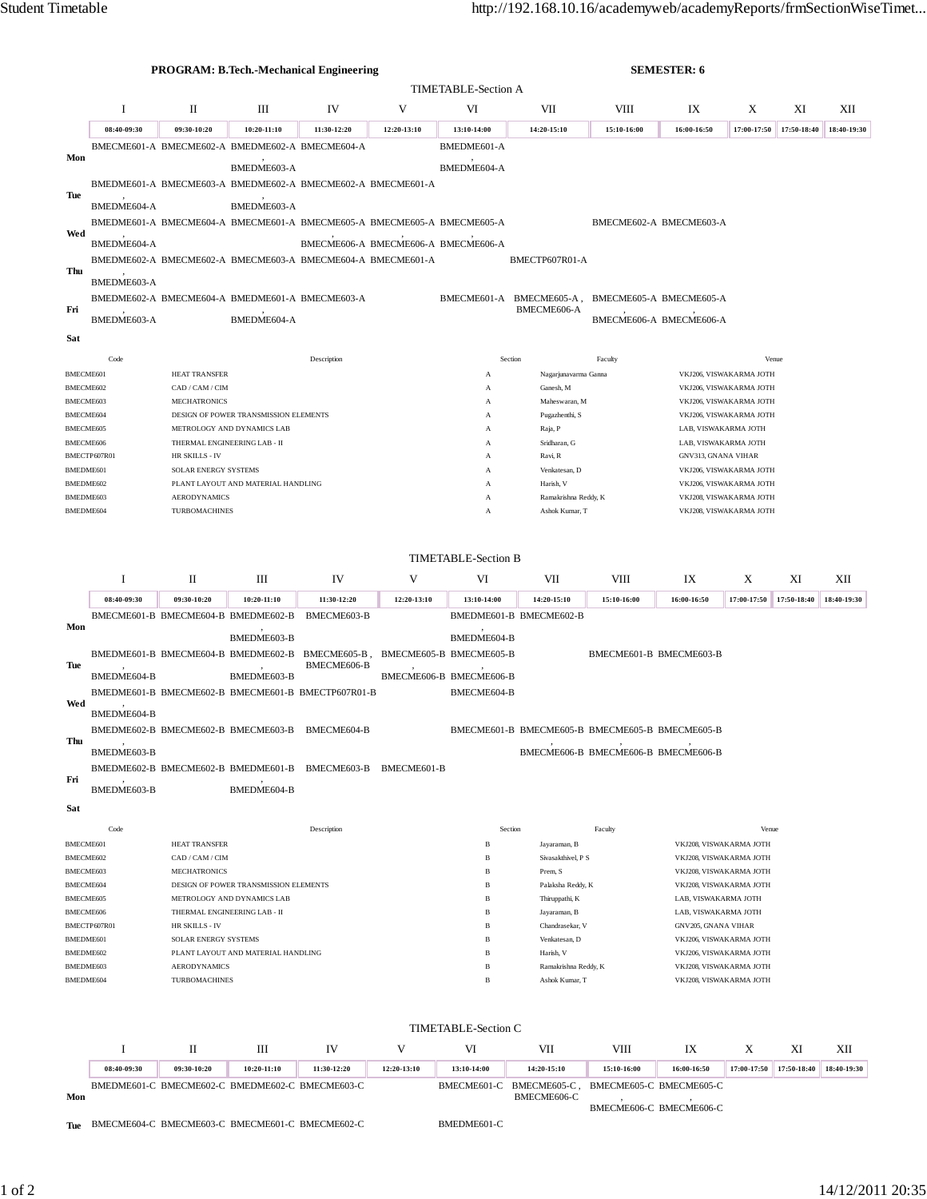|                               |                                                                                  |                                                |                                                 | <b>PROGRAM: B.Tech.-Mechanical Engineering</b>                                                     |                   | <b>SEMESTER: 6</b>                                   |                                                 |                         |                                                    |                                                    |             |             |  |
|-------------------------------|----------------------------------------------------------------------------------|------------------------------------------------|-------------------------------------------------|----------------------------------------------------------------------------------------------------|-------------------|------------------------------------------------------|-------------------------------------------------|-------------------------|----------------------------------------------------|----------------------------------------------------|-------------|-------------|--|
|                               | <b>TIMETABLE-Section A</b>                                                       |                                                |                                                 |                                                                                                    |                   |                                                      |                                                 |                         |                                                    |                                                    |             |             |  |
|                               | I                                                                                | П                                              | Ш                                               | IV                                                                                                 | V                 | VI                                                   | VII                                             | VIII                    | IX                                                 | X                                                  | XI          | XІІ         |  |
|                               | 08:40-09:30                                                                      | 09:30-10:20                                    | $10:20 - 11:10$                                 | 11:30-12:20                                                                                        | 12:20-13:10       | 13:10-14:00                                          | 14:20-15:10                                     | 15:10-16:00             | 16:00-16:50                                        | 17:00-17:50                                        | 17:50-18:40 | 18:40-19:30 |  |
|                               |                                                                                  |                                                |                                                 | BMECME601-A BMECME602-A BMEDME602-A BMECME604-A                                                    |                   | BMEDME601-A                                          |                                                 |                         |                                                    |                                                    |             |             |  |
| Mon                           |                                                                                  |                                                | BMEDME603-A                                     |                                                                                                    |                   | BMEDME604-A                                          |                                                 |                         |                                                    |                                                    |             |             |  |
|                               |                                                                                  |                                                |                                                 | BMEDME601-A BMECME603-A BMEDME602-A BMECME602-A BMECME601-A                                        |                   |                                                      |                                                 |                         |                                                    |                                                    |             |             |  |
| Tue                           | BMEDME604-A                                                                      |                                                | BMEDME603-A                                     |                                                                                                    |                   |                                                      |                                                 |                         |                                                    |                                                    |             |             |  |
|                               |                                                                                  |                                                |                                                 | BMEDME601-A BMECME604-A BMECME601-A BMECME605-A BMECME605-A BMECME605-A                            |                   |                                                      |                                                 |                         | BMECME602-A BMECME603-A                            |                                                    |             |             |  |
| Wed                           |                                                                                  |                                                |                                                 |                                                                                                    |                   |                                                      |                                                 |                         |                                                    |                                                    |             |             |  |
|                               | BMEDME604-A                                                                      |                                                |                                                 | BMECME606-A BMECME606-A BMECME606-A<br>BMEDME602-A BMECME602-A BMECME603-A BMECME604-A BMECME601-A |                   |                                                      | BMECTP607R01-A                                  |                         |                                                    |                                                    |             |             |  |
| Thu                           |                                                                                  |                                                |                                                 |                                                                                                    |                   |                                                      |                                                 |                         |                                                    |                                                    |             |             |  |
|                               | BMEDME603-A                                                                      |                                                |                                                 |                                                                                                    |                   |                                                      |                                                 |                         |                                                    |                                                    |             |             |  |
| Fri                           |                                                                                  |                                                |                                                 | BMEDME602-A BMECME604-A BMEDME601-A BMECME603-A<br>BMECME601-A BMECME605-A,<br>BMECME606-A         |                   |                                                      |                                                 | BMECME605-A BMECME605-A |                                                    |                                                    |             |             |  |
|                               | BMEDME603-A                                                                      |                                                | BMEDME604-A                                     |                                                                                                    |                   |                                                      |                                                 |                         | BMECME606-A BMECME606-A                            |                                                    |             |             |  |
| Sat                           |                                                                                  |                                                |                                                 |                                                                                                    |                   |                                                      |                                                 |                         |                                                    |                                                    |             |             |  |
|                               | Code                                                                             |                                                |                                                 | Description                                                                                        |                   | Section                                              |                                                 | Faculty                 |                                                    |                                                    | Venue       |             |  |
| <b>BMECME601</b>              |                                                                                  | <b>HEAT TRANSFER</b>                           |                                                 |                                                                                                    |                   | Nagarjunavarma Ganna<br>А                            |                                                 |                         |                                                    | VKJ206, VISWAKARMA JOTH                            |             |             |  |
| BMECME602                     |                                                                                  | CAD / CAM / CIM                                | Ganesh, M<br>А                                  |                                                                                                    |                   |                                                      |                                                 |                         | VKJ206, VISWAKARMA JOTH                            |                                                    |             |             |  |
| BMECME603<br>BMECME604        |                                                                                  | <b>MECHATRONICS</b>                            |                                                 |                                                                                                    |                   | А<br>А                                               | Maheswaran, M<br>Pugazhenthi, S                 |                         |                                                    | VKJ206, VISWAKARMA JOTH                            |             |             |  |
|                               | DESIGN OF POWER TRANSMISSION ELEMENTS<br>METROLOGY AND DYNAMICS LAB<br>BMECME605 |                                                |                                                 |                                                                                                    |                   | А                                                    | Raja, P                                         |                         | VKJ206, VISWAKARMA JOTH<br>LAB, VISWAKARMA JOTH    |                                                    |             |             |  |
|                               | THERMAL ENGINEERING LAB - II<br>BMECME606                                        |                                                |                                                 |                                                                                                    | Sridharan, G<br>А |                                                      |                                                 | LAB, VISWAKARMA JOTH    |                                                    |                                                    |             |             |  |
|                               | BMECTP607R01                                                                     | HR SKILLS - IV                                 |                                                 |                                                                                                    |                   | А                                                    | Ravi, R                                         |                         |                                                    | GNV313, GNANA VIHAR                                |             |             |  |
| BMEDME601<br>BMEDME602        |                                                                                  | SOLAR ENERGY SYSTEMS                           | PLANT LAYOUT AND MATERIAL HANDLING              |                                                                                                    |                   | Venkatesan, D<br>А<br>Harish, V<br>А                 |                                                 |                         |                                                    | VKJ206, VISWAKARMA JOTH<br>VKJ206, VISWAKARMA JOTH |             |             |  |
| BMEDME603                     |                                                                                  | <b>AERODYNAMICS</b>                            |                                                 |                                                                                                    |                   | А                                                    | Ramakrishna Reddy, K                            | VKJ208, VISWAKARMA JOTH |                                                    |                                                    |             |             |  |
| BMEDME604                     |                                                                                  | <b>TURBOMACHINES</b>                           |                                                 |                                                                                                    |                   | A                                                    | Ashok Kumar, T                                  |                         |                                                    | VKJ208, VISWAKARMA JOTH                            |             |             |  |
|                               |                                                                                  |                                                |                                                 |                                                                                                    |                   |                                                      |                                                 |                         |                                                    |                                                    |             |             |  |
|                               |                                                                                  |                                                |                                                 |                                                                                                    |                   |                                                      |                                                 |                         |                                                    |                                                    |             |             |  |
|                               |                                                                                  |                                                |                                                 |                                                                                                    |                   | <b>TIMETABLE-Section B</b>                           |                                                 |                         |                                                    |                                                    |             |             |  |
|                               | 1                                                                                | П                                              | Ш                                               | IV                                                                                                 | V                 | VI                                                   | VII                                             | VIII                    | IX                                                 | X                                                  | XI          | XII         |  |
|                               | 08:40-09:30                                                                      | 09:30-10:20                                    | 10:20-11:10                                     | 11:30-12:20                                                                                        | 12:20-13:10       | 13:10-14:00                                          | 14:20-15:10                                     | 15:10-16:00             | 16:00-16:50                                        | 17:00-17:50                                        | 17:50-18:40 | 18:40-19:30 |  |
| Mon                           |                                                                                  |                                                | BMECME601-B BMECME604-B BMEDME602-B             | BMECME603-B                                                                                        |                   |                                                      | BMEDME601-B BMECME602-B                         |                         |                                                    |                                                    |             |             |  |
|                               |                                                                                  |                                                | BMEDME603-B                                     |                                                                                                    |                   | BMEDME604-B                                          |                                                 |                         |                                                    |                                                    |             |             |  |
| Tue                           |                                                                                  |                                                |                                                 | BMEDME601-B BMECME604-B BMEDME602-B BMECME605-B,<br>BMECME606-B                                    |                   | BMECME605-B BMECME605-B                              |                                                 |                         | BMECME601-B BMECME603-B                            |                                                    |             |             |  |
|                               | BMEDME604-B                                                                      |                                                | BMEDME603-B                                     |                                                                                                    |                   | BMECME606-B BMECME606-B                              |                                                 |                         |                                                    |                                                    |             |             |  |
|                               |                                                                                  |                                                |                                                 | BMEDME601-B BMECME602-B BMECME601-B BMECTP607R01-B                                                 |                   | BMECME604-B                                          |                                                 |                         |                                                    |                                                    |             |             |  |
| Wed                           | BMEDME604-B                                                                      |                                                |                                                 |                                                                                                    |                   |                                                      |                                                 |                         |                                                    |                                                    |             |             |  |
|                               |                                                                                  |                                                | BMEDME602-B BMECME602-B BMECME603-B             | BMECME604-B                                                                                        |                   |                                                      | BMECME601-B BMECME605-B BMECME605-B BMECME605-B |                         |                                                    |                                                    |             |             |  |
| Thu                           | BMEDME603-B                                                                      |                                                |                                                 |                                                                                                    |                   |                                                      | BMECME606-B BMECME606-B BMECME606-B             |                         |                                                    |                                                    |             |             |  |
|                               |                                                                                  |                                                |                                                 | BMEDME602-B BMECME602-B BMEDME601-B BMECME603-B BMECME601-B                                        |                   |                                                      |                                                 |                         |                                                    |                                                    |             |             |  |
| Fri                           |                                                                                  |                                                |                                                 |                                                                                                    |                   |                                                      |                                                 |                         |                                                    |                                                    |             |             |  |
|                               | BMEDME603-B                                                                      |                                                | BMEDME604-B                                     |                                                                                                    |                   |                                                      |                                                 |                         |                                                    |                                                    |             |             |  |
| Sat                           |                                                                                  |                                                |                                                 |                                                                                                    |                   |                                                      |                                                 |                         |                                                    |                                                    |             |             |  |
|                               | Code                                                                             |                                                |                                                 | Description                                                                                        |                   | Section                                              |                                                 | Faculty                 |                                                    | Venue                                              |             |             |  |
| <b>BMECME601</b><br>BMECME602 |                                                                                  | <b>HEAT TRANSFER</b><br>CAD / CAM / CIM        |                                                 |                                                                                                    |                   | $\, {\bf B}$<br>$\, {\bf B}$                         | Jayaraman, B<br>Sivasakthivel, P S              |                         | VKJ208, VISWAKARMA JOTH<br>VKJ208, VISWAKARMA JOTH |                                                    |             |             |  |
| BMECME603                     |                                                                                  | <b>MECHATRONICS</b>                            |                                                 |                                                                                                    |                   | B                                                    | Prem, S                                         |                         | VKJ208, VISWAKARMA JOTH                            |                                                    |             |             |  |
| BMECME604                     |                                                                                  |                                                | DESIGN OF POWER TRANSMISSION ELEMENTS           |                                                                                                    |                   | Palaksha Reddy, K<br>B                               |                                                 |                         | VKJ208, VISWAKARMA JOTH                            |                                                    |             |             |  |
| BMECME605                     |                                                                                  |                                                | METROLOGY AND DYNAMICS LAB                      |                                                                                                    |                   | B<br>Thiruppathi, K                                  |                                                 |                         | LAB, VISWAKARMA JOTH                               |                                                    |             |             |  |
| BMECME606                     | BMECTP607R01                                                                     | THERMAL ENGINEERING LAB - II<br>HR SKILLS - IV |                                                 |                                                                                                    |                   | B<br>Jayaraman, B<br>$\, {\bf B}$<br>Chandrasekar, V |                                                 |                         | LAB, VISWAKARMA JOTH<br>GNV205, GNANA VIHAR        |                                                    |             |             |  |
| BMEDME601                     |                                                                                  |                                                | SOLAR ENERGY SYSTEMS                            |                                                                                                    |                   |                                                      | Venkatesan, D                                   |                         | VKJ206, VISWAKARMA JOTH                            |                                                    |             |             |  |
| BMEDME602                     |                                                                                  |                                                | PLANT LAYOUT AND MATERIAL HANDLING              |                                                                                                    |                   | $\mathbf B$                                          | Harish, V                                       |                         | VKJ206, VISWAKARMA JOTH                            |                                                    |             |             |  |
| BMEDME603                     |                                                                                  | <b>AERODYNAMICS</b><br><b>TURBOMACHINES</b>    |                                                 |                                                                                                    |                   | $\, {\bf B}$<br>B                                    | Ramakrishna Reddy, K<br>Ashok Kumar, T          |                         | VKJ208, VISWAKARMA JOTH<br>VKJ208, VISWAKARMA JOTH |                                                    |             |             |  |
| BMEDME604                     |                                                                                  |                                                |                                                 |                                                                                                    |                   |                                                      |                                                 |                         |                                                    |                                                    |             |             |  |
|                               |                                                                                  |                                                |                                                 |                                                                                                    |                   |                                                      |                                                 |                         |                                                    |                                                    |             |             |  |
| <b>TIMETABLE-Section C</b>    |                                                                                  |                                                |                                                 |                                                                                                    |                   |                                                      |                                                 |                         |                                                    |                                                    |             |             |  |
|                               | I                                                                                | П                                              | Ш                                               | IV                                                                                                 | V                 | VI                                                   | VII                                             | VIII                    | IX                                                 | X                                                  | ΧI          | XІI         |  |
|                               | 08:40-09:30                                                                      | 09:30-10:20                                    | 10:20-11:10                                     | 11:30-12:20                                                                                        | 12:20-13:10       | 13:10-14:00                                          | 14:20-15:10                                     | 15:10-16:00             | 16:00-16:50                                        | 17:00-17:50                                        | 17:50-18:40 | 18:40-19:30 |  |
|                               |                                                                                  |                                                | BMEDME601-C BMECME602-C BMEDME602-C BMECME603-C |                                                                                                    |                   |                                                      | BMECME601-C BMECME605-C,                        |                         | BMECME605-C BMECME605-C                            |                                                    |             |             |  |
|                               |                                                                                  |                                                |                                                 |                                                                                                    |                   |                                                      |                                                 |                         |                                                    |                                                    |             |             |  |
| Mon                           |                                                                                  |                                                |                                                 |                                                                                                    |                   |                                                      | BMECME606-C                                     |                         | BMECME606-C BMECME606-C                            |                                                    |             |             |  |